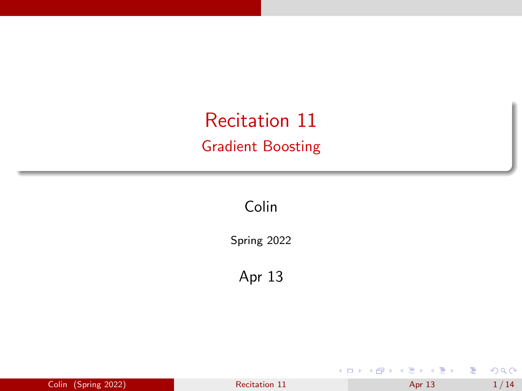<span id="page-0-0"></span>Recitation 11 Gradient Boosting

Colin

Spring 2022

Apr 13

|  | Colin (Spring 2022) | Recitation 11 | Apr 13 | 1/14 |
|--|---------------------|---------------|--------|------|
|--|---------------------|---------------|--------|------|

Ξ

 $\prec$ 

**Kロト K個 K** 

÷,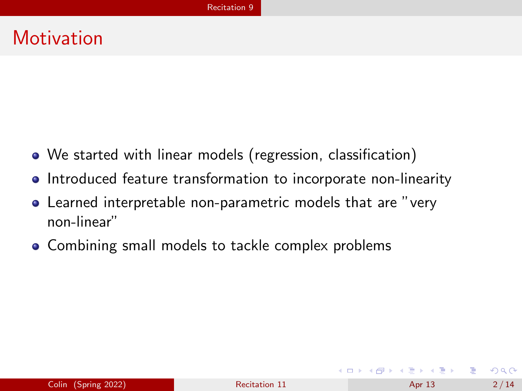#### <span id="page-1-0"></span>**Motivation**

- We started with linear models (regression, classification)
- Introduced feature transformation to incorporate non-linearity
- Learned interpretable non-parametric models that are "very non-linear"
- Combining small models to tackle complex problems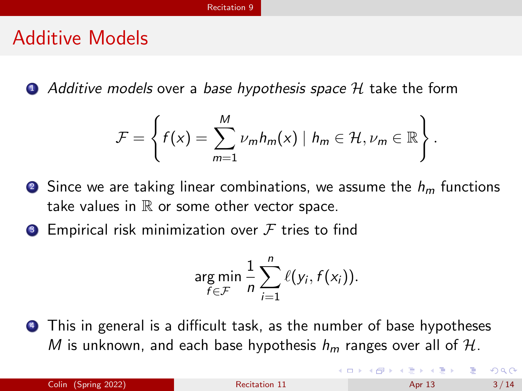#### Additive Models

 $\bullet$  Additive models over a base hypothesis space H take the form

$$
\mathcal{F} = \left\{ f(x) = \sum_{m=1}^{M} \nu_m h_m(x) \mid h_m \in \mathcal{H}, \nu_m \in \mathbb{R} \right\}.
$$

- **2** Since we are taking linear combinations, we assume the  $h_m$  functions take values in  $\mathbb R$  or some other vector space.
- **3** Empirical risk minimization over  $\mathcal F$  tries to find

$$
\argmin_{f \in \mathcal{F}} \frac{1}{n} \sum_{i=1}^n \ell(y_i, f(x_i)).
$$

<sup>4</sup> This in general is a difficult task, as the number of base hypotheses M is unknown, and each base hypothesis  $h_m$  ranges over all of H.

イロト イ押ト イヨト イヨト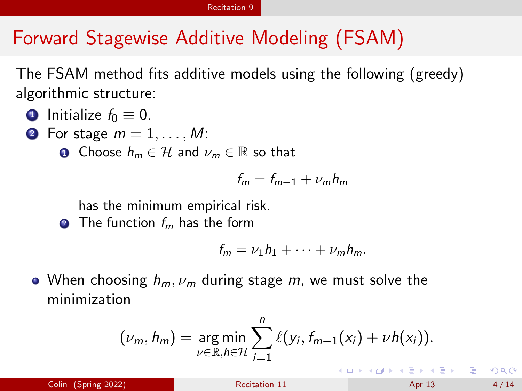### Forward Stagewise Additive Modeling (FSAM)

The FSAM method fits additive models using the following (greedy) algorithmic structure:

- **1** Initialize  $f_0 \equiv 0$ .
- **2** For stage  $m = 1, \ldots, M$ :
	- **1** Choose  $h_m \in \mathcal{H}$  and  $\nu_m \in \mathbb{R}$  so that

$$
f_m = f_{m-1} + \nu_m h_m
$$

has the minimum empirical risk.

**2** The function  $f_m$  has the form

$$
f_m = \nu_1 h_1 + \cdots + \nu_m h_m.
$$

• When choosing  $h_m$ ,  $\nu_m$  during stage m, we must solve the minimization

$$
(\nu_m, h_m) = \underset{\nu \in \mathbb{R}, h \in \mathcal{H}}{\arg \min} \sum_{i=1}^n \ell(y_i, f_{m-1}(x_i) + \nu h(x_i)).
$$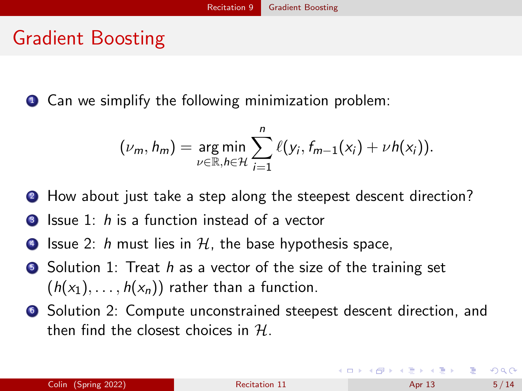#### <span id="page-4-0"></span>Gradient Boosting

**1** Can we simplify the following minimization problem:

$$
(\nu_m, h_m) = \underset{\nu \in \mathbb{R}, h \in \mathcal{H}}{\arg \min} \sum_{i=1}^n \ell(y_i, f_{m-1}(x_i) + \nu h(x_i)).
$$

- 2 How about just take a step along the steepest descent direction?
- **3** Issue 1: h is a function instead of a vector
- $\bullet$  Issue 2: h must lies in H, the base hypothesis space,
- $\bullet$  Solution 1: Treat h as a vector of the size of the training set  $(h(x_1), \ldots, h(x_n))$  rather than a function.
- <sup>6</sup> Solution 2: Compute unconstrained steepest descent direction, and then find the closest choices in  $H$ .

イロト (個) (④) (ミト (重) (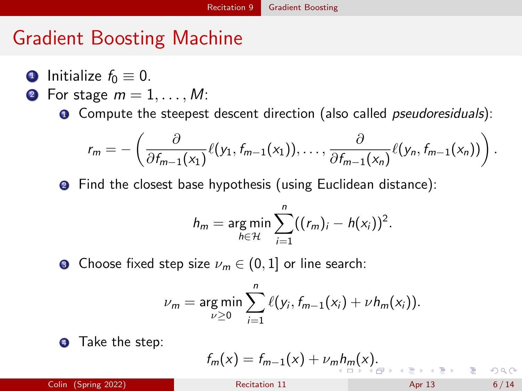### <span id="page-5-0"></span>Gradient Boosting Machine

- **1** Initialize  $f_0 \equiv 0$ .
- **2** For stage  $m = 1, \ldots, M$ :
	- **O** Compute the steepest descent direction (also called *pseudoresiduals*):

$$
r_m=-\left(\frac{\partial}{\partial f_{m-1}(x_1)}\ell(y_1,f_{m-1}(x_1)),\ldots,\frac{\partial}{\partial f_{m-1}(x_n)}\ell(y_n,f_{m-1}(x_n))\right).
$$

**2** Find the closest base hypothesis (using Euclidean distance):

$$
h_m = \underset{h \in \mathcal{H}}{\arg \min} \sum_{i=1}^n ((r_m)_i - h(x_i))^2.
$$

**3** Choose fixed step size  $\nu_m \in (0, 1]$  or line search:

$$
\nu_m = \argmin_{\nu \geq 0} \sum_{i=1}^n \ell(y_i, f_{m-1}(x_i) + \nu h_m(x_i)).
$$

**4** Take the step:

$$
f_m(x) = f_{m-1}(x) + \nu_m h_m(x).
$$

 $\frac{1}{2}$  Colin (Spring 2022) **[Recitation 11](#page-0-0)** Apr 13 6 / 14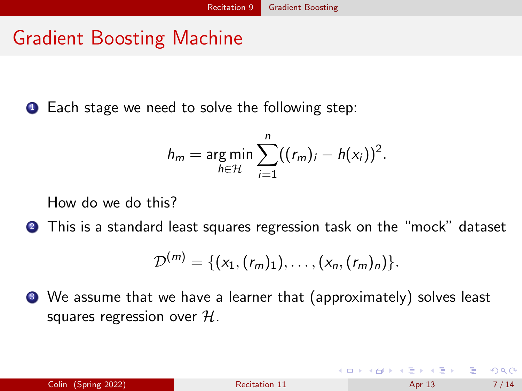# <span id="page-6-0"></span>Gradient Boosting Machine

**1** Each stage we need to solve the following step:

$$
h_m = \underset{h \in \mathcal{H}}{\arg \min} \sum_{i=1}^n ((r_m)_i - h(x_i))^2.
$$

How do we do this?

<sup>2</sup> This is a standard least squares regression task on the "mock" dataset

$$
\mathcal{D}^{(m)} = \{ (x_1, (r_m)_1), \ldots, (x_n, (r_m)_n) \}.
$$

<sup>3</sup> We assume that we have a learner that (approximately) solves least squares regression over  $H$ .

 $QQQ$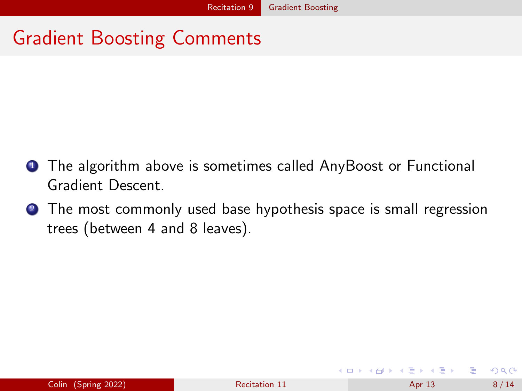# Gradient Boosting Comments

- **1** The algorithm above is sometimes called AnyBoost or Functional Gradient Descent.
- **2** The most commonly used base hypothesis space is small regression trees (between 4 and 8 leaves).

| Colin (Spring 2022)<br>Recitation 11<br>Apr 13 | 8/14 |
|------------------------------------------------|------|
|------------------------------------------------|------|

 $QQ$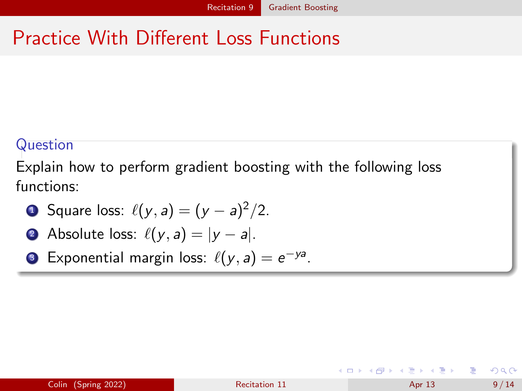# Practice With Different Loss Functions

#### Question

Explain how to perform gradient boosting with the following loss functions:

**6** Square loss: 
$$
\ell(y, a) = (y - a)^2/2
$$
.

• Absolute loss: 
$$
\ell(y, a) = |y - a|
$$
.

**3** Exponential margin loss:  $\ell(y, a) = e^{-ya}$ .

| Colin (Spring 2022) |  |  |
|---------------------|--|--|
|                     |  |  |
|                     |  |  |

 $QQQ$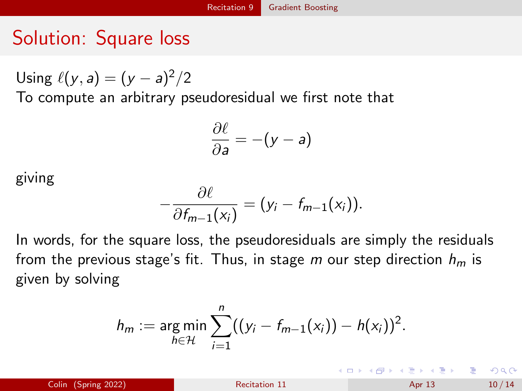# Solution: Square loss

Using  $\ell(y, a) = (y - a)^2/2$ 

To compute an arbitrary pseudoresidual we first note that

$$
\frac{\partial \ell}{\partial a} = -(y-a)
$$

giving

$$
-\frac{\partial \ell}{\partial f_{m-1}(x_i)}=(y_i-f_{m-1}(x_i)).
$$

In words, for the square loss, the pseudoresiduals are simply the residuals from the previous stage's fit. Thus, in stage m our step direction  $h_m$  is given by solving

$$
h_m := \underset{h \in \mathcal{H}}{\arg \min} \sum_{i=1}^n ((y_i - f_{m-1}(x_i)) - h(x_i))^2.
$$

 $\frac{1}{2}$  Colin (Spring 2022) **[Recitation 11](#page-0-0)** Apr 13 10 / 14

**KOD KARD KED KED A BA YOUR**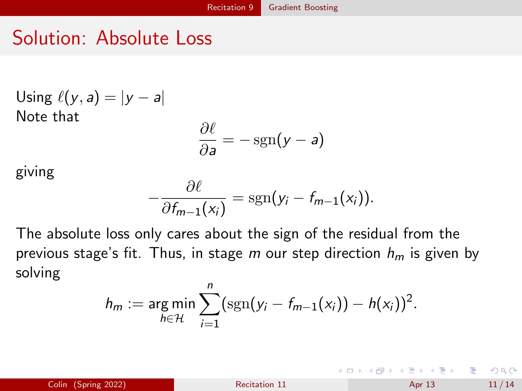## Solution: Absolute Loss

Using 
$$
\ell(y, a) = |y - a|
$$
  
Note that

$$
\frac{\partial \ell}{\partial a} = -\operatorname{sgn}(y - a)
$$

giving

$$
-\frac{\partial \ell}{\partial f_{m-1}(x_i)}=\mathrm{sgn}(y_i-f_{m-1}(x_i)).
$$

The absolute loss only cares about the sign of the residual from the previous stage's fit. Thus, in stage m our step direction  $h_m$  is given by solving

$$
h_m := \argmin_{h \in \mathcal{H}} \sum_{i=1}^n (\text{sgn}(y_i - f_{m-1}(x_i)) - h(x_i))^2.
$$

イロト イ母ト イヨト イヨト

÷.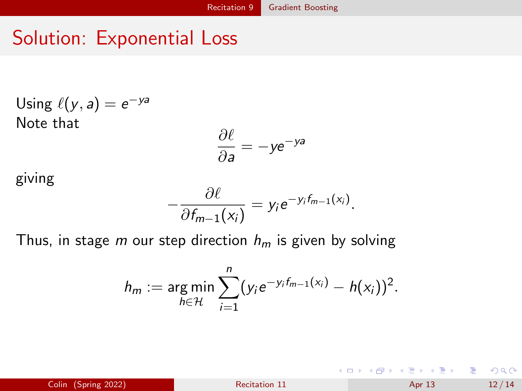# Solution: Exponential Loss

Using 
$$
\ell(y, a) = e^{-ya}
$$
  
Note that

$$
\frac{\partial \ell}{\partial a} = -ye^{-ya}
$$

giving

$$
-\frac{\partial \ell}{\partial f_{m-1}(x_i)}=y_i e^{-y_i f_{m-1}(x_i)}.
$$

Thus, in stage m our step direction  $h_m$  is given by solving

$$
h_m := \underset{h \in \mathcal{H}}{\arg \min} \sum_{i=1}^n (y_i e^{-y_i f_{m-1}(x_i)} - h(x_i))^2.
$$

Colin (Spring 2022) **[Recitation 11](#page-0-0)** Recitation 11 Apr 13 12 / 14

イロメ イ母メ イヨメ イヨメー

 $ORO$ 

G.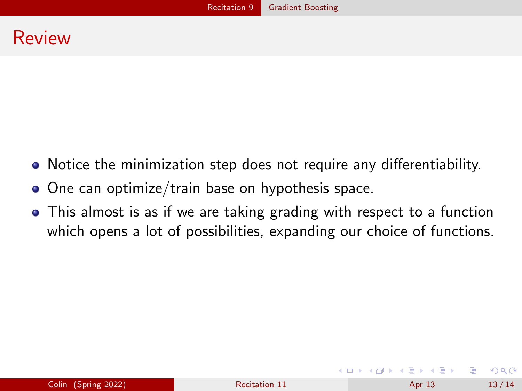#### Review

- Notice the minimization step does not require any differentiability.
- One can optimize/train base on hypothesis space.
- This almost is as if we are taking grading with respect to a function which opens a lot of possibilities, expanding our choice of functions.

 $QQ$ 

イロト イ押ト イヨト イヨト